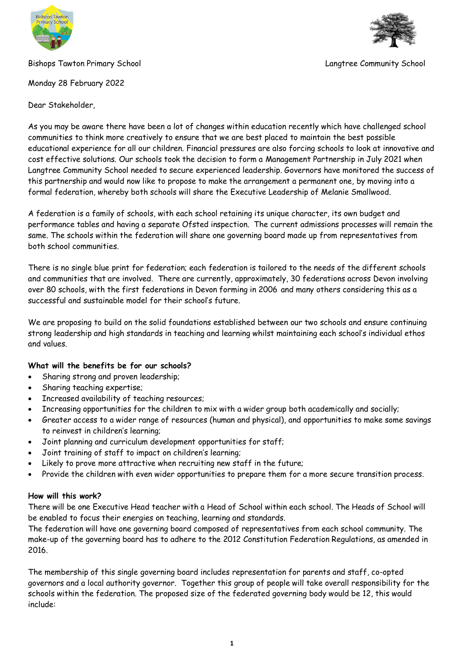

# Bishops Tawton Primary School Langtree Community School



Monday 28 February 2022

Dear Stakeholder,

As you may be aware there have been a lot of changes within education recently which have challenged school communities to think more creatively to ensure that we are best placed to maintain the best possible educational experience for all our children. Financial pressures are also forcing schools to look at innovative and cost effective solutions. Our schools took the decision to form a Management Partnership in July 2021 when Langtree Community School needed to secure experienced leadership. Governors have monitored the success of this partnership and would now like to propose to make the arrangement a permanent one, by moving into a formal federation, whereby both schools will share the Executive Leadership of Melanie Smallwood.

A federation is a family of schools, with each school retaining its unique character, its own budget and performance tables and having a separate Ofsted inspection. The current admissions processes will remain the same. The schools within the federation will share one governing board made up from representatives from both school communities.

There is no single blue print for federation; each federation is tailored to the needs of the different schools and communities that are involved. There are currently, approximately, 30 federations across Devon involving over 80 schools, with the first federations in Devon forming in 2006 and many others considering this as a successful and sustainable model for their school's future.

We are proposing to build on the solid foundations established between our two schools and ensure continuing strong leadership and high standards in teaching and learning whilst maintaining each school's individual ethos and values.

# **What will the benefits be for our schools?**

- Sharing strong and proven leadership;
- Sharing teaching expertise;
- Increased availability of teaching resources;
- Increasing opportunities for the children to mix with a wider group both academically and socially;
- Greater access to a wider range of resources (human and physical), and opportunities to make some savings to reinvest in children's learning;
- Joint planning and curriculum development opportunities for staff;
- Joint training of staff to impact on children's learning;
- Likely to prove more attractive when recruiting new staff in the future;
- Provide the children with even wider opportunities to prepare them for a more secure transition process.

# **How will this work?**

There will be one Executive Head teacher with a Head of School within each school. The Heads of School will be enabled to focus their energies on teaching, learning and standards.

The federation will have one governing board composed of representatives from each school community. The make-up of the governing board has to adhere to the 2012 Constitution Federation Regulations, as amended in 2016.

The membership of this single governing board includes representation for parents and staff, co-opted governors and a local authority governor. Together this group of people will take overall responsibility for the schools within the federation. The proposed size of the federated governing body would be 12, this would include: